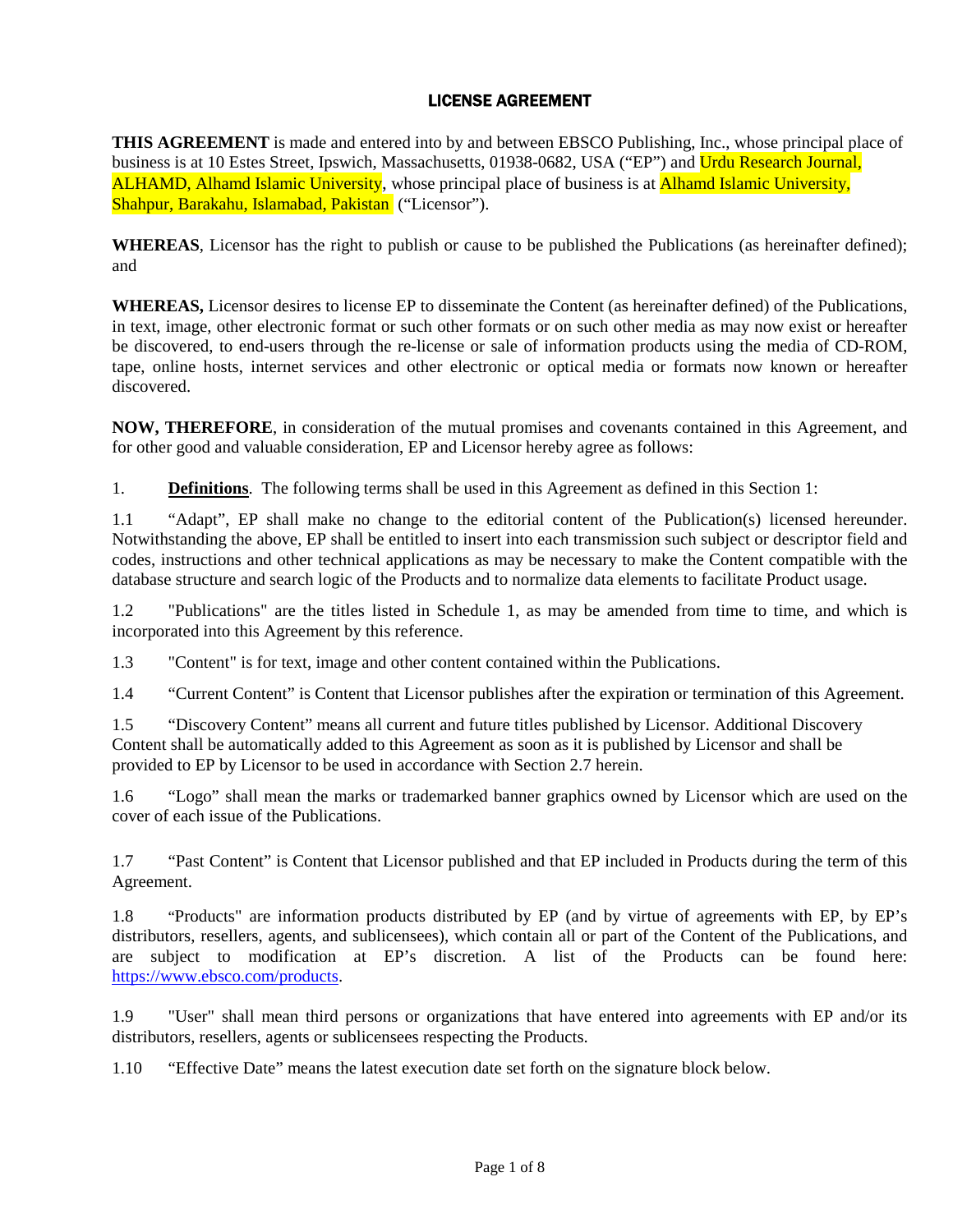## LICENSE AGREEMENT

**THIS AGREEMENT** is made and entered into by and between EBSCO Publishing, Inc., whose principal place of business is at 10 Estes Street, Ipswich, Massachusetts, 01938-0682, USA ("EP") and Urdu Research Journal, ALHAMD, Alhamd Islamic University, whose principal place of business is at Alhamd Islamic University, Shahpur, Barakahu, Islamabad, Pakistan ("Licensor").

**WHEREAS**, Licensor has the right to publish or cause to be published the Publications (as hereinafter defined); and

**WHEREAS,** Licensor desires to license EP to disseminate the Content (as hereinafter defined) of the Publications, in text, image, other electronic format or such other formats or on such other media as may now exist or hereafter be discovered, to end-users through the re-license or sale of information products using the media of CD-ROM, tape, online hosts, internet services and other electronic or optical media or formats now known or hereafter discovered.

**NOW, THEREFORE**, in consideration of the mutual promises and covenants contained in this Agreement, and for other good and valuable consideration, EP and Licensor hereby agree as follows:

1. **Definitions**. The following terms shall be used in this Agreement as defined in this Section 1:

1.1 "Adapt", EP shall make no change to the editorial content of the Publication(s) licensed hereunder. Notwithstanding the above, EP shall be entitled to insert into each transmission such subject or descriptor field and codes, instructions and other technical applications as may be necessary to make the Content compatible with the database structure and search logic of the Products and to normalize data elements to facilitate Product usage.

1.2 "Publications" are the titles listed in Schedule 1, as may be amended from time to time, and which is incorporated into this Agreement by this reference.

1.3 "Content" is for text, image and other content contained within the Publications.

1.4 "Current Content" is Content that Licensor publishes after the expiration or termination of this Agreement.

1.5 "Discovery Content" means all current and future titles published by Licensor. Additional Discovery Content shall be automatically added to this Agreement as soon as it is published by Licensor and shall be provided to EP by Licensor to be used in accordance with Section 2.7 herein.

1.6 "Logo" shall mean the marks or trademarked banner graphics owned by Licensor which are used on the cover of each issue of the Publications.

1.7 "Past Content" is Content that Licensor published and that EP included in Products during the term of this Agreement.

1.8 "Products" are information products distributed by EP (and by virtue of agreements with EP, by EP's distributors, resellers, agents, and sublicensees), which contain all or part of the Content of the Publications, and are subject to modification at EP's discretion. A list of the Products can be found here: https://www.ebsco.com/products.

1.9 "User" shall mean third persons or organizations that have entered into agreements with EP and/or its distributors, resellers, agents or sublicensees respecting the Products.

1.10 "Effective Date" means the latest execution date set forth on the signature block below.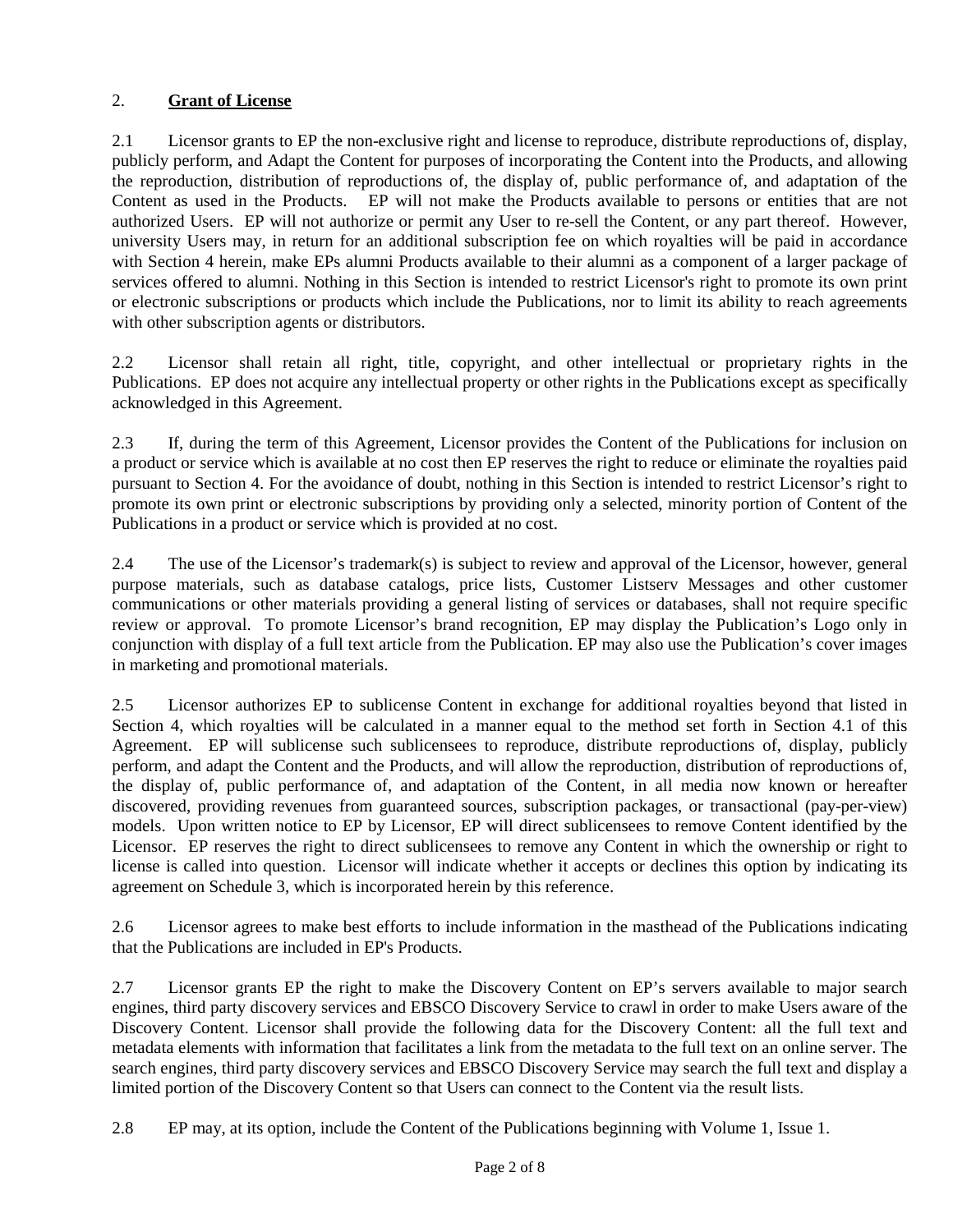## 2. **Grant of License**

2.1 Licensor grants to EP the non-exclusive right and license to reproduce, distribute reproductions of, display, publicly perform, and Adapt the Content for purposes of incorporating the Content into the Products, and allowing the reproduction, distribution of reproductions of, the display of, public performance of, and adaptation of the Content as used in the Products. EP will not make the Products available to persons or entities that are not authorized Users. EP will not authorize or permit any User to re-sell the Content, or any part thereof. However, university Users may, in return for an additional subscription fee on which royalties will be paid in accordance with Section 4 herein, make EPs alumni Products available to their alumni as a component of a larger package of services offered to alumni. Nothing in this Section is intended to restrict Licensor's right to promote its own print or electronic subscriptions or products which include the Publications, nor to limit its ability to reach agreements with other subscription agents or distributors.

2.2 Licensor shall retain all right, title, copyright, and other intellectual or proprietary rights in the Publications. EP does not acquire any intellectual property or other rights in the Publications except as specifically acknowledged in this Agreement.

2.3 If, during the term of this Agreement, Licensor provides the Content of the Publications for inclusion on a product or service which is available at no cost then EP reserves the right to reduce or eliminate the royalties paid pursuant to Section 4. For the avoidance of doubt, nothing in this Section is intended to restrict Licensor's right to promote its own print or electronic subscriptions by providing only a selected, minority portion of Content of the Publications in a product or service which is provided at no cost.

2.4 The use of the Licensor's trademark(s) is subject to review and approval of the Licensor, however, general purpose materials, such as database catalogs, price lists, Customer Listserv Messages and other customer communications or other materials providing a general listing of services or databases, shall not require specific review or approval. To promote Licensor's brand recognition, EP may display the Publication's Logo only in conjunction with display of a full text article from the Publication. EP may also use the Publication's cover images in marketing and promotional materials.

2.5 Licensor authorizes EP to sublicense Content in exchange for additional royalties beyond that listed in Section 4, which royalties will be calculated in a manner equal to the method set forth in Section 4.1 of this Agreement. EP will sublicense such sublicensees to reproduce, distribute reproductions of, display, publicly perform, and adapt the Content and the Products, and will allow the reproduction, distribution of reproductions of, the display of, public performance of, and adaptation of the Content, in all media now known or hereafter discovered, providing revenues from guaranteed sources, subscription packages, or transactional (pay-per-view) models. Upon written notice to EP by Licensor, EP will direct sublicensees to remove Content identified by the Licensor. EP reserves the right to direct sublicensees to remove any Content in which the ownership or right to license is called into question. Licensor will indicate whether it accepts or declines this option by indicating its agreement on Schedule 3, which is incorporated herein by this reference.

2.6 Licensor agrees to make best efforts to include information in the masthead of the Publications indicating that the Publications are included in EP's Products.

2.7 Licensor grants EP the right to make the Discovery Content on EP's servers available to major search engines, third party discovery services and EBSCO Discovery Service to crawl in order to make Users aware of the Discovery Content. Licensor shall provide the following data for the Discovery Content: all the full text and metadata elements with information that facilitates a link from the metadata to the full text on an online server. The search engines, third party discovery services and EBSCO Discovery Service may search the full text and display a limited portion of the Discovery Content so that Users can connect to the Content via the result lists.

2.8 EP may, at its option, include the Content of the Publications beginning with Volume 1, Issue 1.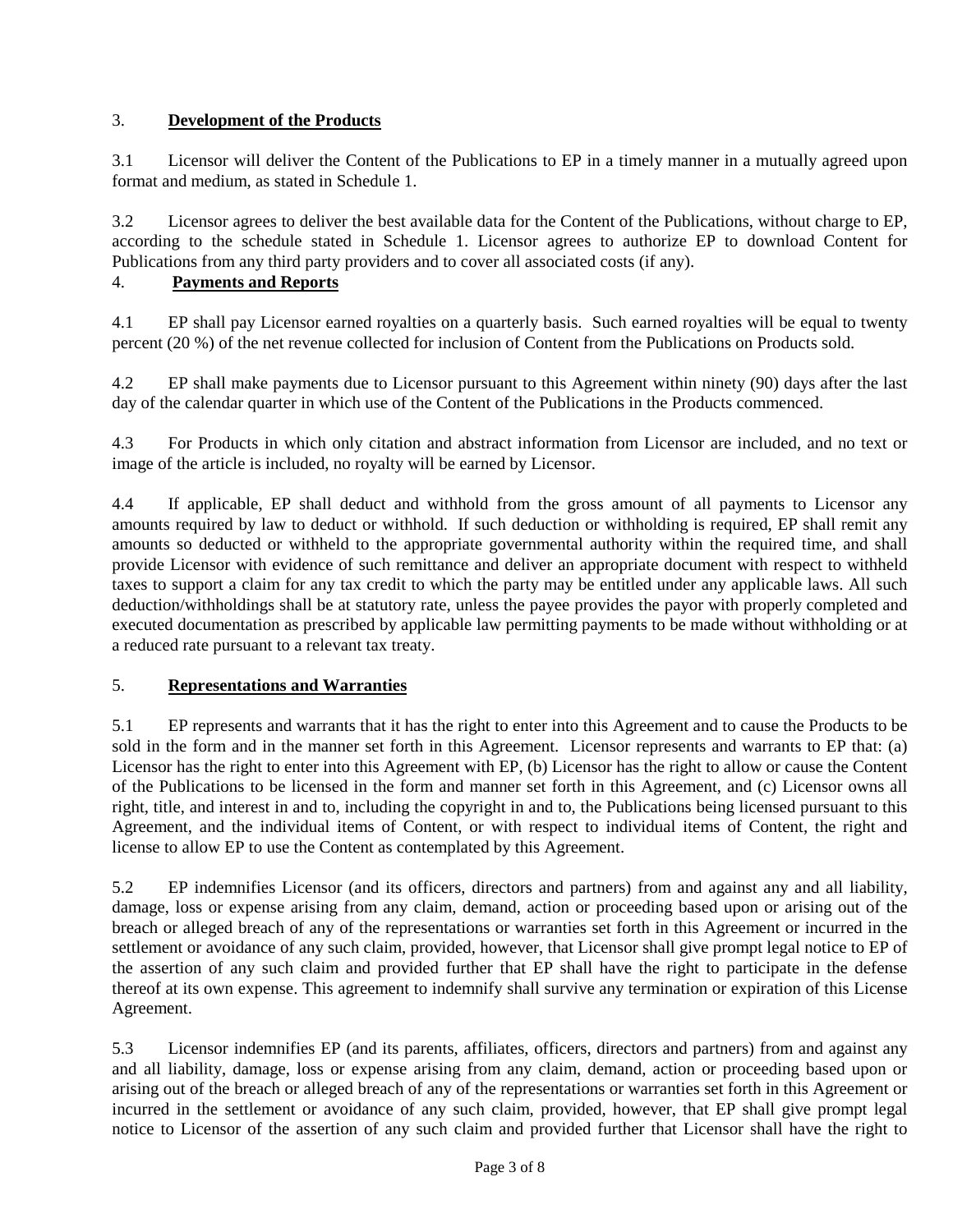## 3. **Development of the Products**

3.1 Licensor will deliver the Content of the Publications to EP in a timely manner in a mutually agreed upon format and medium, as stated in Schedule 1.

3.2 Licensor agrees to deliver the best available data for the Content of the Publications, without charge to EP, according to the schedule stated in Schedule 1. Licensor agrees to authorize EP to download Content for Publications from any third party providers and to cover all associated costs (if any).

# 4. **Payments and Reports**

4.1 EP shall pay Licensor earned royalties on a quarterly basis. Such earned royalties will be equal to twenty percent (20 %) of the net revenue collected for inclusion of Content from the Publications on Products sold.

4.2 EP shall make payments due to Licensor pursuant to this Agreement within ninety (90) days after the last day of the calendar quarter in which use of the Content of the Publications in the Products commenced.

4.3 For Products in which only citation and abstract information from Licensor are included, and no text or image of the article is included, no royalty will be earned by Licensor.

4.4 If applicable, EP shall deduct and withhold from the gross amount of all payments to Licensor any amounts required by law to deduct or withhold. If such deduction or withholding is required, EP shall remit any amounts so deducted or withheld to the appropriate governmental authority within the required time, and shall provide Licensor with evidence of such remittance and deliver an appropriate document with respect to withheld taxes to support a claim for any tax credit to which the party may be entitled under any applicable laws. All such deduction/withholdings shall be at statutory rate, unless the payee provides the payor with properly completed and executed documentation as prescribed by applicable law permitting payments to be made without withholding or at a reduced rate pursuant to a relevant tax treaty.

## 5. **Representations and Warranties**

5.1 EP represents and warrants that it has the right to enter into this Agreement and to cause the Products to be sold in the form and in the manner set forth in this Agreement. Licensor represents and warrants to EP that: (a) Licensor has the right to enter into this Agreement with EP, (b) Licensor has the right to allow or cause the Content of the Publications to be licensed in the form and manner set forth in this Agreement, and (c) Licensor owns all right, title, and interest in and to, including the copyright in and to, the Publications being licensed pursuant to this Agreement, and the individual items of Content, or with respect to individual items of Content, the right and license to allow EP to use the Content as contemplated by this Agreement.

5.2 EP indemnifies Licensor (and its officers, directors and partners) from and against any and all liability, damage, loss or expense arising from any claim, demand, action or proceeding based upon or arising out of the breach or alleged breach of any of the representations or warranties set forth in this Agreement or incurred in the settlement or avoidance of any such claim, provided, however, that Licensor shall give prompt legal notice to EP of the assertion of any such claim and provided further that EP shall have the right to participate in the defense thereof at its own expense. This agreement to indemnify shall survive any termination or expiration of this License Agreement.

5.3 Licensor indemnifies EP (and its parents, affiliates, officers, directors and partners) from and against any and all liability, damage, loss or expense arising from any claim, demand, action or proceeding based upon or arising out of the breach or alleged breach of any of the representations or warranties set forth in this Agreement or incurred in the settlement or avoidance of any such claim, provided, however, that EP shall give prompt legal notice to Licensor of the assertion of any such claim and provided further that Licensor shall have the right to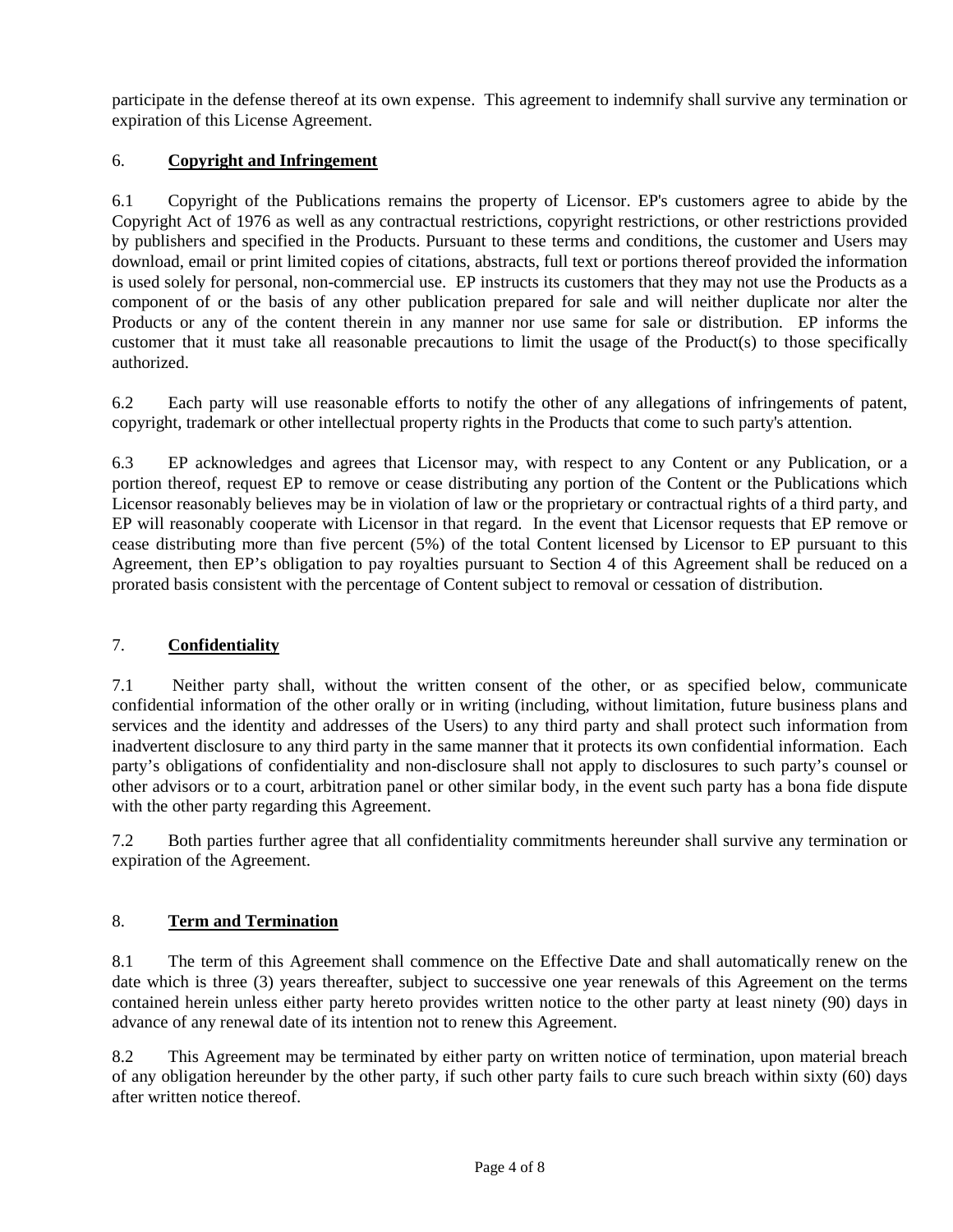participate in the defense thereof at its own expense. This agreement to indemnify shall survive any termination or expiration of this License Agreement.

## 6. **Copyright and Infringement**

6.1 Copyright of the Publications remains the property of Licensor. EP's customers agree to abide by the Copyright Act of 1976 as well as any contractual restrictions, copyright restrictions, or other restrictions provided by publishers and specified in the Products. Pursuant to these terms and conditions, the customer and Users may download, email or print limited copies of citations, abstracts, full text or portions thereof provided the information is used solely for personal, non-commercial use. EP instructs its customers that they may not use the Products as a component of or the basis of any other publication prepared for sale and will neither duplicate nor alter the Products or any of the content therein in any manner nor use same for sale or distribution. EP informs the customer that it must take all reasonable precautions to limit the usage of the Product(s) to those specifically authorized.

6.2 Each party will use reasonable efforts to notify the other of any allegations of infringements of patent, copyright, trademark or other intellectual property rights in the Products that come to such party's attention.

6.3 EP acknowledges and agrees that Licensor may, with respect to any Content or any Publication, or a portion thereof, request EP to remove or cease distributing any portion of the Content or the Publications which Licensor reasonably believes may be in violation of law or the proprietary or contractual rights of a third party, and EP will reasonably cooperate with Licensor in that regard. In the event that Licensor requests that EP remove or cease distributing more than five percent (5%) of the total Content licensed by Licensor to EP pursuant to this Agreement, then EP's obligation to pay royalties pursuant to Section 4 of this Agreement shall be reduced on a prorated basis consistent with the percentage of Content subject to removal or cessation of distribution.

## 7. **Confidentiality**

7.1 Neither party shall, without the written consent of the other, or as specified below, communicate confidential information of the other orally or in writing (including, without limitation, future business plans and services and the identity and addresses of the Users) to any third party and shall protect such information from inadvertent disclosure to any third party in the same manner that it protects its own confidential information. Each party's obligations of confidentiality and non-disclosure shall not apply to disclosures to such party's counsel or other advisors or to a court, arbitration panel or other similar body, in the event such party has a bona fide dispute with the other party regarding this Agreement.

7.2 Both parties further agree that all confidentiality commitments hereunder shall survive any termination or expiration of the Agreement.

## 8. **Term and Termination**

8.1 The term of this Agreement shall commence on the Effective Date and shall automatically renew on the date which is three (3) years thereafter, subject to successive one year renewals of this Agreement on the terms contained herein unless either party hereto provides written notice to the other party at least ninety (90) days in advance of any renewal date of its intention not to renew this Agreement.

8.2 This Agreement may be terminated by either party on written notice of termination, upon material breach of any obligation hereunder by the other party, if such other party fails to cure such breach within sixty (60) days after written notice thereof.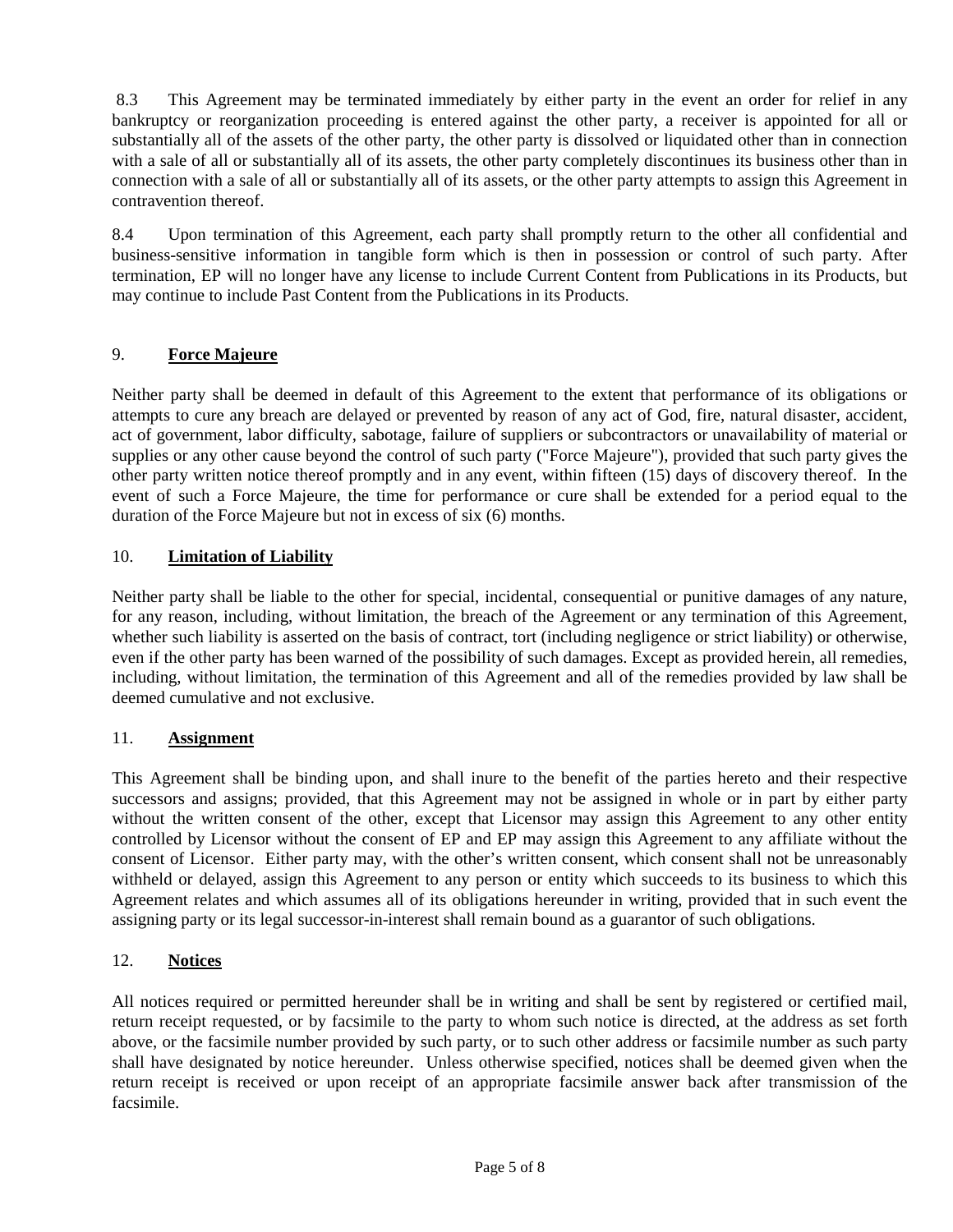8.3 This Agreement may be terminated immediately by either party in the event an order for relief in any bankruptcy or reorganization proceeding is entered against the other party, a receiver is appointed for all or substantially all of the assets of the other party, the other party is dissolved or liquidated other than in connection with a sale of all or substantially all of its assets, the other party completely discontinues its business other than in connection with a sale of all or substantially all of its assets, or the other party attempts to assign this Agreement in contravention thereof.

8.4 Upon termination of this Agreement, each party shall promptly return to the other all confidential and business-sensitive information in tangible form which is then in possession or control of such party. After termination, EP will no longer have any license to include Current Content from Publications in its Products, but may continue to include Past Content from the Publications in its Products.

## 9. **Force Majeure**

Neither party shall be deemed in default of this Agreement to the extent that performance of its obligations or attempts to cure any breach are delayed or prevented by reason of any act of God, fire, natural disaster, accident, act of government, labor difficulty, sabotage, failure of suppliers or subcontractors or unavailability of material or supplies or any other cause beyond the control of such party ("Force Majeure"), provided that such party gives the other party written notice thereof promptly and in any event, within fifteen (15) days of discovery thereof. In the event of such a Force Majeure, the time for performance or cure shall be extended for a period equal to the duration of the Force Majeure but not in excess of six (6) months.

## 10. **Limitation of Liability**

Neither party shall be liable to the other for special, incidental, consequential or punitive damages of any nature, for any reason, including, without limitation, the breach of the Agreement or any termination of this Agreement, whether such liability is asserted on the basis of contract, tort (including negligence or strict liability) or otherwise, even if the other party has been warned of the possibility of such damages. Except as provided herein, all remedies, including, without limitation, the termination of this Agreement and all of the remedies provided by law shall be deemed cumulative and not exclusive.

### 11. **Assignment**

This Agreement shall be binding upon, and shall inure to the benefit of the parties hereto and their respective successors and assigns; provided, that this Agreement may not be assigned in whole or in part by either party without the written consent of the other, except that Licensor may assign this Agreement to any other entity controlled by Licensor without the consent of EP and EP may assign this Agreement to any affiliate without the consent of Licensor. Either party may, with the other's written consent, which consent shall not be unreasonably withheld or delayed, assign this Agreement to any person or entity which succeeds to its business to which this Agreement relates and which assumes all of its obligations hereunder in writing, provided that in such event the assigning party or its legal successor-in-interest shall remain bound as a guarantor of such obligations.

### 12. **Notices**

All notices required or permitted hereunder shall be in writing and shall be sent by registered or certified mail, return receipt requested, or by facsimile to the party to whom such notice is directed, at the address as set forth above, or the facsimile number provided by such party, or to such other address or facsimile number as such party shall have designated by notice hereunder. Unless otherwise specified, notices shall be deemed given when the return receipt is received or upon receipt of an appropriate facsimile answer back after transmission of the facsimile.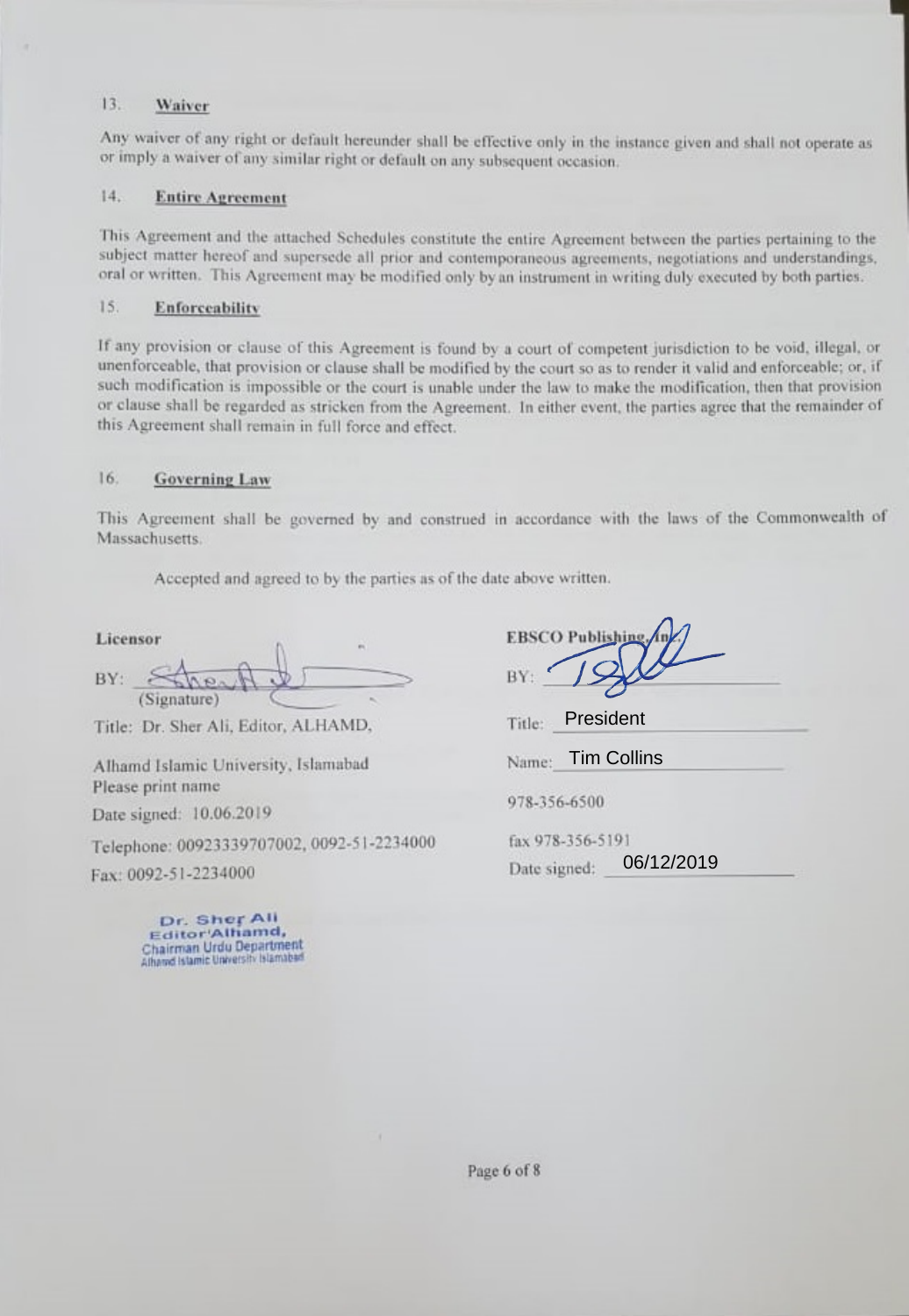#### $13.$ Waiver

Any waiver of any right or default hereunder shall be effective only in the instance given and shall not operate as or imply a waiver of any similar right or default on any subsequent occasion.

#### $14.$ **Entire Agreement**

This Agreement and the attached Schedules constitute the entire Agreement between the parties pertaining to the subject matter hereof and supersede all prior and contemporaneous agreements, negotiations and understandings, oral or written. This Agreement may be modified only by an instrument in writing duly executed by both parties.

#### 15. Enforceability

If any provision or clause of this Agreement is found by a court of competent jurisdiction to be void, illegal, or unenforceable, that provision or clause shall be modified by the court so as to render it valid and enforceable; or, if such modification is impossible or the court is unable under the law to make the modification, then that provision or clause shall be regarded as stricken from the Agreement. In either event, the parties agree that the remainder of this Agreement shall remain in full force and effect.

#### 16. **Governing Law**

This Agreement shall be governed by and construed in accordance with the laws of the Commonwealth of Massachusetts.

Accepted and agreed to by the parties as of the date above written.

Licensor BY: (Signature)

Title: Dr. Sher Ali, Editor, ALHAMD,

Alhamd Islamic University, Islamabad Please print name

Date signed: 10.06.2019

Telephone: 00923339707002, 0092-51-2234000

Fax: 0092-51-2234000

Dr. Sher All Editor'Alhamd, Chairman Urdu Department Athamd Islamic University Islamabad

**EBSCO Publishing** 

President Title:

Name: Tim Collins

978-356-6500

fax 978-356-5191 06/12/2019 Date signed:

Page 6 of 8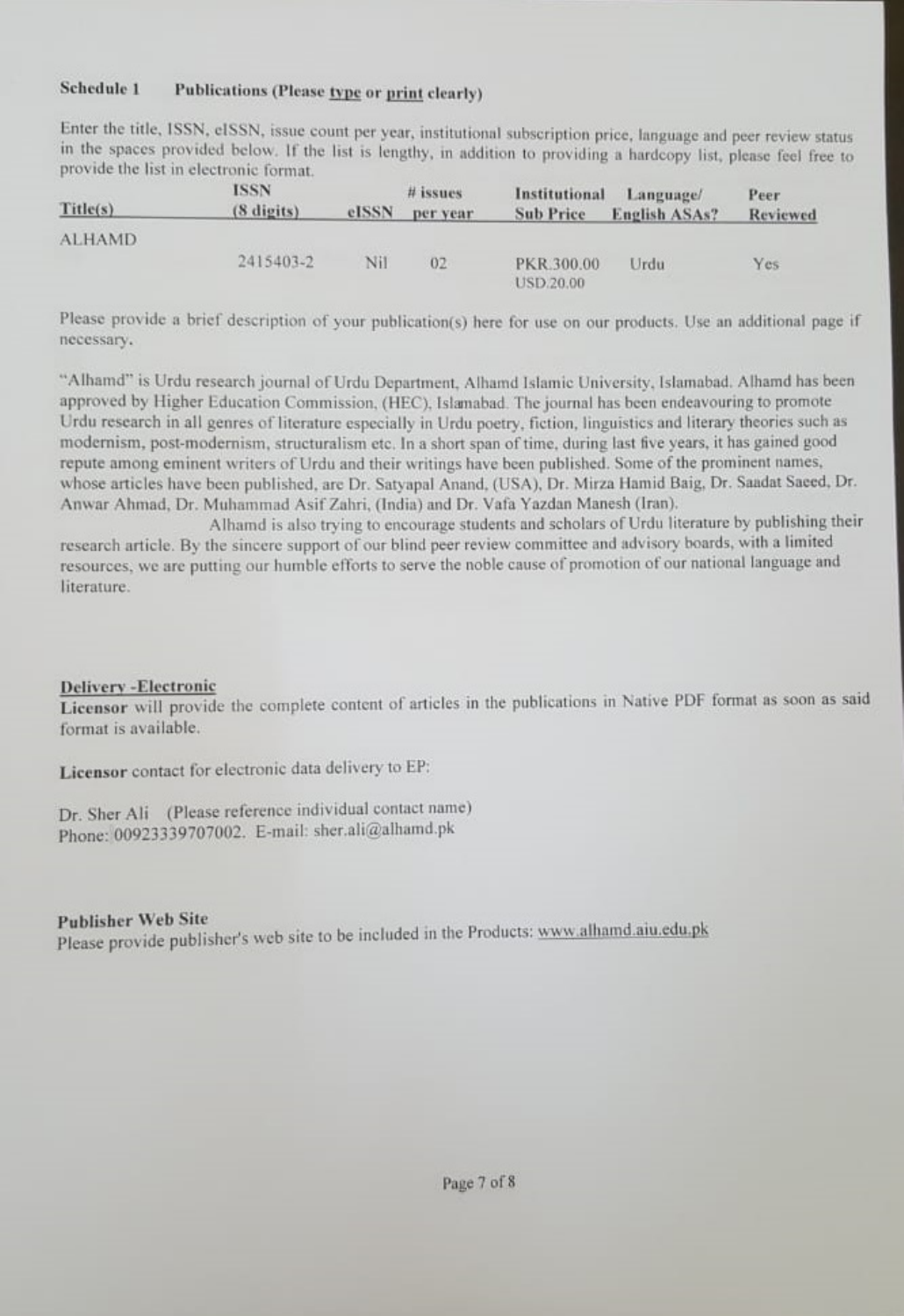### Schedule 1 Publications (Please type or print clearly)

Enter the title, ISSN, eISSN, issue count per year, institutional subscription price, language and peer review status in the spaces provided below. If the list is lengthy, in addition to providing a hardcopy list, please feel free to provide the list in electronic format.

| Title(s)      | <b>ISSN</b><br>(8 digits) | eISSN | # issues<br>per year | Institutional<br><b>Sub Price</b> | Language/<br><b>English ASAs?</b> | Peer<br>Reviewed |
|---------------|---------------------------|-------|----------------------|-----------------------------------|-----------------------------------|------------------|
| <b>ALHAMD</b> |                           |       |                      |                                   |                                   |                  |
|               | 2415403-2                 | Nil   | 02                   | PKR.300.00<br><b>USD.20.00</b>    | Urdu                              | Yes.             |

Please provide a brief description of your publication(s) here for use on our products. Use an additional page if necessary.

"Alhamd" is Urdu research journal of Urdu Department, Alhamd Islamic University, Islamabad. Alhamd has been approved by Higher Education Commission, (HEC), Islamabad. The journal has been endeavouring to promote Urdu research in all genres of literature especially in Urdu poetry, fiction, linguistics and literary theories such as modernism, post-modernism, structuralism etc. In a short span of time, during last five years, it has gained good repute among eminent writers of Urdu and their writings have been published. Some of the prominent names, whose articles have been published, are Dr. Satyapal Anand, (USA), Dr. Mirza Hamid Baig, Dr. Saadat Saeed, Dr. Anwar Ahmad, Dr. Muhammad Asif Zahri, (India) and Dr. Vafa Yazdan Manesh (Iran).

Alhamd is also trying to encourage students and scholars of Urdu literature by publishing their research article. By the sincere support of our blind peer review committee and advisory boards, with a limited resources, we are putting our humble efforts to serve the noble cause of promotion of our national language and literature.

### **Delivery-Electronic**

Licensor will provide the complete content of articles in the publications in Native PDF format as soon as said format is available.

Licensor contact for electronic data delivery to EP:

Dr. Sher Ali (Please reference individual contact name) Phone: 00923339707002. E-mail: sher.ali@alhamd.pk

### **Publisher Web Site**

Please provide publisher's web site to be included in the Products: www.alhamd.aiu.edu.pk